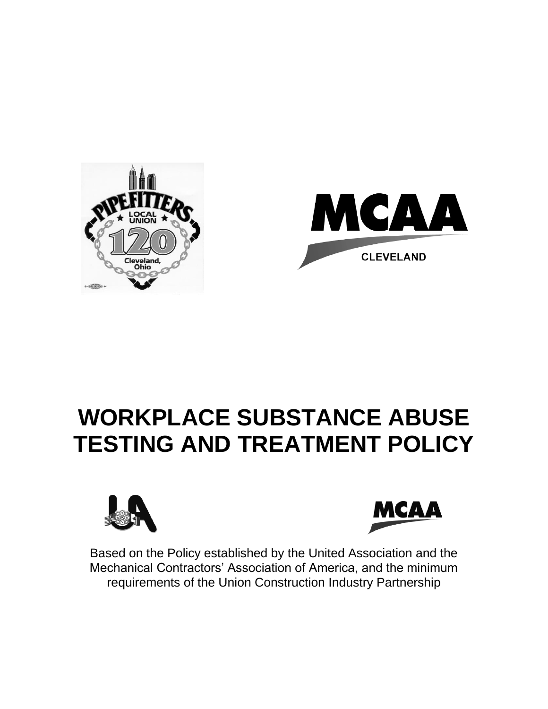

# **WORKPLACE SUBSTANCE ABUSE TESTING AND TREATMENT POLICY**





Based on the Policy established by the United Association and the Mechanical Contractors' Association of America, and the minimum requirements of the Union Construction Industry Partnership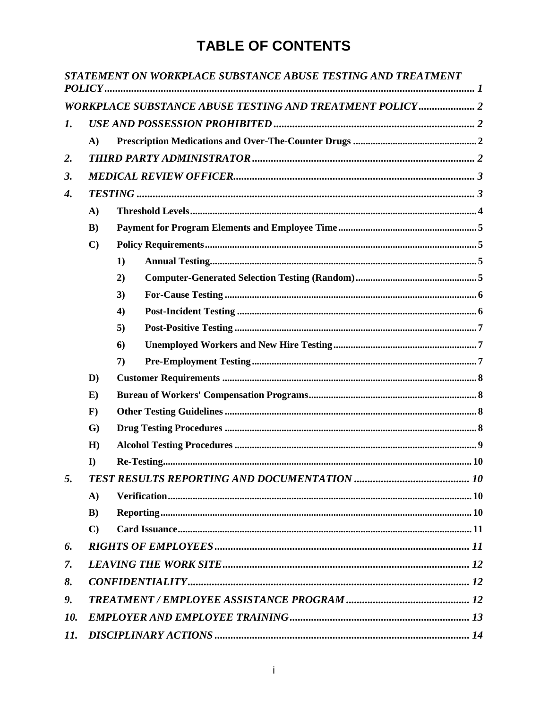### **TABLE OF CONTENTS**

|                |              | STATEMENT ON WORKPLACE SUBSTANCE ABUSE TESTING AND TREATMENT    |  |
|----------------|--------------|-----------------------------------------------------------------|--|
|                |              | <b>WORKPLACE SUBSTANCE ABUSE TESTING AND TREATMENT POLICY 2</b> |  |
| $\mathbf{I}$ . |              |                                                                 |  |
|                | $\mathbf{A}$ |                                                                 |  |
| 2.             |              |                                                                 |  |
| 3.             |              |                                                                 |  |
| 4.             |              |                                                                 |  |
|                | A)           |                                                                 |  |
|                | $\bf{B}$     |                                                                 |  |
|                | $\mathbf{C}$ |                                                                 |  |
|                |              | 1)                                                              |  |
|                |              | 2)                                                              |  |
|                |              | 3)                                                              |  |
|                |              | $\boldsymbol{4}$                                                |  |
|                |              | 5)                                                              |  |
|                |              | 6)                                                              |  |
|                |              | 7)                                                              |  |
|                | $\mathbf{D}$ |                                                                 |  |
|                | $\bf{E}$     |                                                                 |  |
|                | $\mathbf{F}$ |                                                                 |  |
|                | $\mathbf{G}$ |                                                                 |  |
|                | H)           |                                                                 |  |
|                | $\bf{I}$     |                                                                 |  |
| 5.             |              |                                                                 |  |
|                | A)           |                                                                 |  |
|                | $\bf{B}$ )   |                                                                 |  |
|                | $\mathbf{C}$ |                                                                 |  |
| 6.             |              |                                                                 |  |
| 7.             |              |                                                                 |  |
| 8.             |              |                                                                 |  |
| 9.             |              |                                                                 |  |
| 10.            |              |                                                                 |  |
| 11.            |              |                                                                 |  |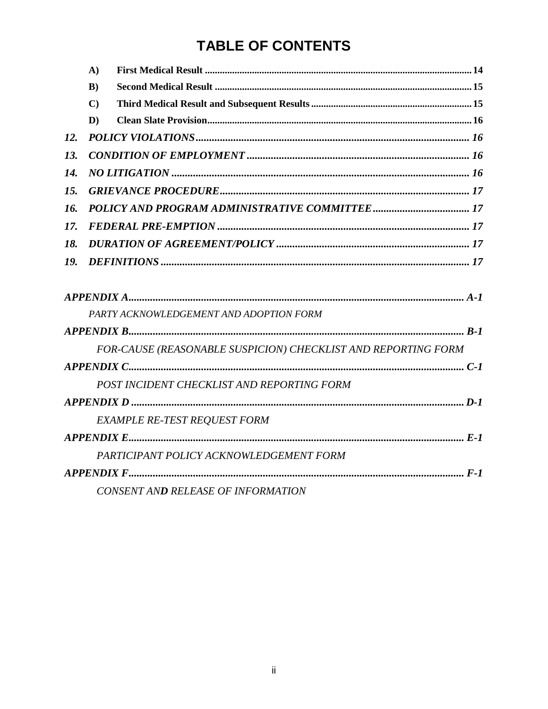### **TABLE OF CONTENTS**

|     | $\mathbf{A}$ |                                                               |
|-----|--------------|---------------------------------------------------------------|
|     | B)           |                                                               |
|     | $\mathbf{C}$ |                                                               |
|     | $\mathbf{D}$ |                                                               |
| 12. |              |                                                               |
| 13. |              |                                                               |
| 14. |              |                                                               |
| 15. |              |                                                               |
| 16. |              |                                                               |
| 17. |              |                                                               |
| 18. |              |                                                               |
| 19. |              |                                                               |
|     |              |                                                               |
|     |              | PARTY ACKNOWLEDGEMENT AND ADOPTION FORM                       |
|     |              |                                                               |
|     |              | FOR-CAUSE (REASONABLE SUSPICION) CHECKLIST AND REPORTING FORM |
|     |              |                                                               |
|     |              | POST INCIDENT CHECKLIST AND REPORTING FORM                    |
|     |              |                                                               |
|     |              | <b>EXAMPLE RE-TEST REQUEST FORM</b>                           |
|     |              |                                                               |
|     |              | PARTICIPANT POLICY ACKNOWLEDGEMENT FORM                       |
|     |              |                                                               |
|     |              |                                                               |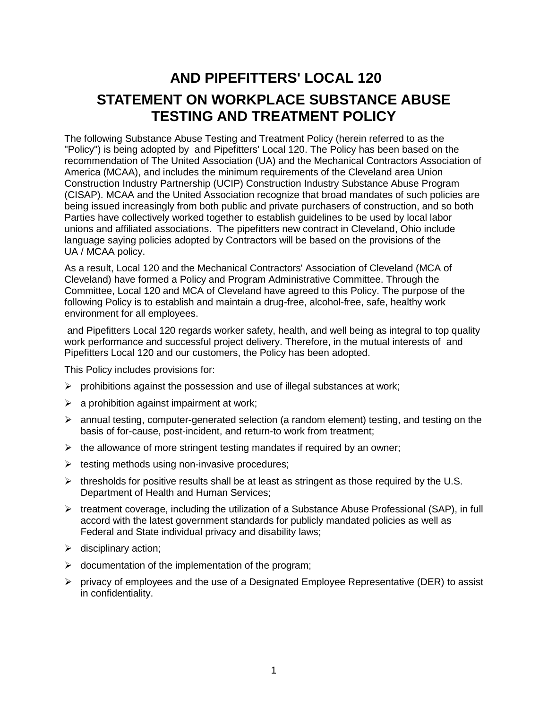### <span id="page-3-0"></span>**AND PIPEFITTERS' LOCAL 120 STATEMENT ON WORKPLACE SUBSTANCE ABUSE TESTING AND TREATMENT POLICY**

The following Substance Abuse Testing and Treatment Policy (herein referred to as the "Policy") is being adopted by and Pipefitters' Local 120. The Policy has been based on the recommendation of The United Association (UA) and the Mechanical Contractors Association of America (MCAA), and includes the minimum requirements of the Cleveland area Union Construction Industry Partnership (UCIP) Construction Industry Substance Abuse Program (CISAP). MCAA and the United Association recognize that broad mandates of such policies are being issued increasingly from both public and private purchasers of construction, and so both Parties have collectively worked together to establish guidelines to be used by local labor unions and affiliated associations. The pipefitters new contract in Cleveland, Ohio include language saying policies adopted by Contractors will be based on the provisions of the UA / MCAA policy.

As a result, Local 120 and the Mechanical Contractors' Association of Cleveland (MCA of Cleveland) have formed a Policy and Program Administrative Committee. Through the Committee, Local 120 and MCA of Cleveland have agreed to this Policy. The purpose of the following Policy is to establish and maintain a drug-free, alcohol-free, safe, healthy work environment for all employees.

and Pipefitters Local 120 regards worker safety, health, and well being as integral to top quality work performance and successful project delivery. Therefore, in the mutual interests of and Pipefitters Local 120 and our customers, the Policy has been adopted.

This Policy includes provisions for:

- $\triangleright$  prohibitions against the possession and use of illegal substances at work;
- $\triangleright$  a prohibition against impairment at work;
- $\triangleright$  annual testing, computer-generated selection (a random element) testing, and testing on the basis of for-cause, post-incident, and return-to work from treatment;
- $\triangleright$  the allowance of more stringent testing mandates if required by an owner;
- $\triangleright$  testing methods using non-invasive procedures;
- $\triangleright$  thresholds for positive results shall be at least as stringent as those required by the U.S. Department of Health and Human Services;
- $\triangleright$  treatment coverage, including the utilization of a Substance Abuse Professional (SAP), in full accord with the latest government standards for publicly mandated policies as well as Federal and State individual privacy and disability laws;
- $\triangleright$  disciplinary action;
- $\triangleright$  documentation of the implementation of the program;
- $\triangleright$  privacy of employees and the use of a Designated Employee Representative (DER) to assist in confidentiality.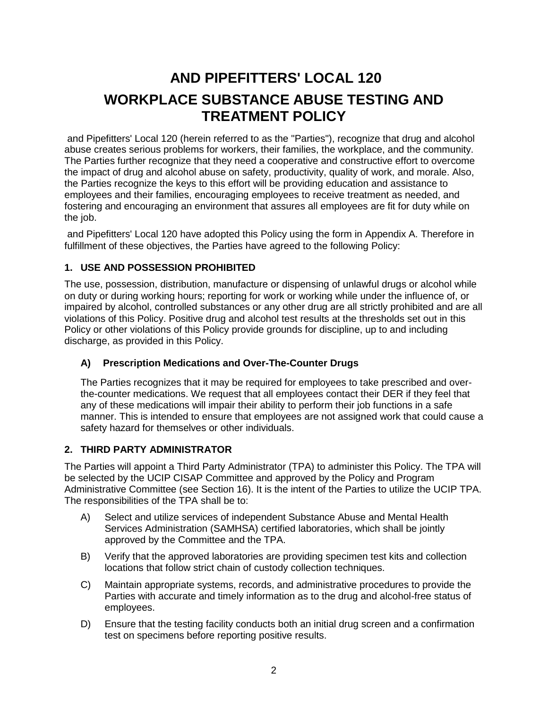### <span id="page-4-0"></span>**AND PIPEFITTERS' LOCAL 120 WORKPLACE SUBSTANCE ABUSE TESTING AND TREATMENT POLICY**

and Pipefitters' Local 120 (herein referred to as the "Parties"), recognize that drug and alcohol abuse creates serious problems for workers, their families, the workplace, and the community. The Parties further recognize that they need a cooperative and constructive effort to overcome the impact of drug and alcohol abuse on safety, productivity, quality of work, and morale. Also, the Parties recognize the keys to this effort will be providing education and assistance to employees and their families, encouraging employees to receive treatment as needed, and fostering and encouraging an environment that assures all employees are fit for duty while on the job.

and Pipefitters' Local 120 have adopted this Policy using the form in Appendix A. Therefore in fulfillment of these objectives, the Parties have agreed to the following Policy:

#### <span id="page-4-1"></span>**1. USE AND POSSESSION PROHIBITED**

The use, possession, distribution, manufacture or dispensing of unlawful drugs or alcohol while on duty or during working hours; reporting for work or working while under the influence of, or impaired by alcohol, controlled substances or any other drug are all strictly prohibited and are all violations of this Policy. Positive drug and alcohol test results at the thresholds set out in this Policy or other violations of this Policy provide grounds for discipline, up to and including discharge, as provided in this Policy.

#### <span id="page-4-2"></span>**A) Prescription Medications and Over-The-Counter Drugs**

The Parties recognizes that it may be required for employees to take prescribed and overthe-counter medications. We request that all employees contact their DER if they feel that any of these medications will impair their ability to perform their job functions in a safe manner. This is intended to ensure that employees are not assigned work that could cause a safety hazard for themselves or other individuals.

#### <span id="page-4-3"></span>**2. THIRD PARTY ADMINISTRATOR**

The Parties will appoint a Third Party Administrator (TPA) to administer this Policy. The TPA will be selected by the UCIP CISAP Committee and approved by the Policy and Program Administrative Committee (see Section 16). It is the intent of the Parties to utilize the UCIP TPA. The responsibilities of the TPA shall be to:

- A) Select and utilize services of independent Substance Abuse and Mental Health Services Administration (SAMHSA) certified laboratories, which shall be jointly approved by the Committee and the TPA.
- B) Verify that the approved laboratories are providing specimen test kits and collection locations that follow strict chain of custody collection techniques.
- C) Maintain appropriate systems, records, and administrative procedures to provide the Parties with accurate and timely information as to the drug and alcohol-free status of employees.
- D) Ensure that the testing facility conducts both an initial drug screen and a confirmation test on specimens before reporting positive results.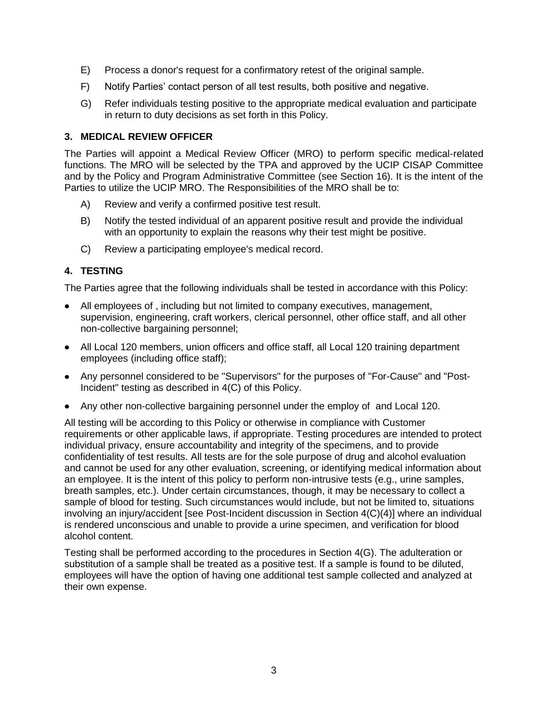- E) Process a donor's request for a confirmatory retest of the original sample.
- F) Notify Parties' contact person of all test results, both positive and negative.
- G) Refer individuals testing positive to the appropriate medical evaluation and participate in return to duty decisions as set forth in this Policy.

#### <span id="page-5-0"></span>**3. MEDICAL REVIEW OFFICER**

The Parties will appoint a Medical Review Officer (MRO) to perform specific medical-related functions. The MRO will be selected by the TPA and approved by the UCIP CISAP Committee and by the Policy and Program Administrative Committee (see Section 16). It is the intent of the Parties to utilize the UCIP MRO. The Responsibilities of the MRO shall be to:

- A) Review and verify a confirmed positive test result.
- B) Notify the tested individual of an apparent positive result and provide the individual with an opportunity to explain the reasons why their test might be positive.
- C) Review a participating employee's medical record.

#### <span id="page-5-1"></span>**4. TESTING**

The Parties agree that the following individuals shall be tested in accordance with this Policy:

- All employees of , including but not limited to company executives, management, supervision, engineering, craft workers, clerical personnel, other office staff, and all other non-collective bargaining personnel;
- All Local 120 members, union officers and office staff, all Local 120 training department employees (including office staff);
- Any personnel considered to be "Supervisors" for the purposes of "For-Cause" and "Post-Incident" testing as described in 4(C) of this Policy.
- Any other non-collective bargaining personnel under the employ of and Local 120.

All testing will be according to this Policy or otherwise in compliance with Customer requirements or other applicable laws, if appropriate. Testing procedures are intended to protect individual privacy, ensure accountability and integrity of the specimens, and to provide confidentiality of test results. All tests are for the sole purpose of drug and alcohol evaluation and cannot be used for any other evaluation, screening, or identifying medical information about an employee. It is the intent of this policy to perform non-intrusive tests (e.g., urine samples, breath samples, etc.). Under certain circumstances, though, it may be necessary to collect a sample of blood for testing. Such circumstances would include, but not be limited to, situations involving an injury/accident [see Post-Incident discussion in Section 4(C)(4)] where an individual is rendered unconscious and unable to provide a urine specimen, and verification for blood alcohol content.

Testing shall be performed according to the procedures in Section 4(G). The adulteration or substitution of a sample shall be treated as a positive test. If a sample is found to be diluted, employees will have the option of having one additional test sample collected and analyzed at their own expense.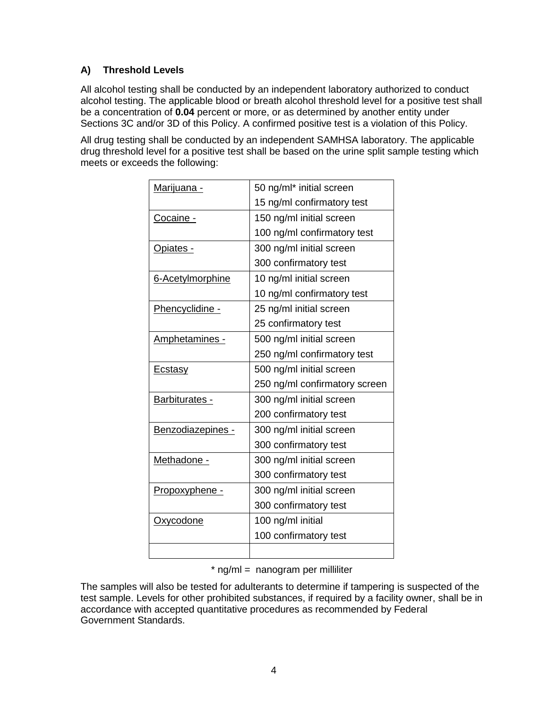#### <span id="page-6-0"></span>**A) Threshold Levels**

All alcohol testing shall be conducted by an independent laboratory authorized to conduct alcohol testing. The applicable blood or breath alcohol threshold level for a positive test shall be a concentration of **0.04** percent or more, or as determined by another entity under Sections 3C and/or 3D of this Policy. A confirmed positive test is a violation of this Policy.

All drug testing shall be conducted by an independent SAMHSA laboratory. The applicable drug threshold level for a positive test shall be based on the urine split sample testing which meets or exceeds the following:

| <u>Marijuana -</u> | 50 ng/ml* initial screen      |
|--------------------|-------------------------------|
|                    | 15 ng/ml confirmatory test    |
| Cocaine -          | 150 ng/ml initial screen      |
|                    | 100 ng/ml confirmatory test   |
| Opiates -          | 300 ng/ml initial screen      |
|                    | 300 confirmatory test         |
| 6-Acetylmorphine   | 10 ng/ml initial screen       |
|                    | 10 ng/ml confirmatory test    |
| Phencyclidine -    | 25 ng/ml initial screen       |
|                    | 25 confirmatory test          |
| Amphetamines -     | 500 ng/ml initial screen      |
|                    | 250 ng/ml confirmatory test   |
| <b>Ecstasy</b>     | 500 ng/ml initial screen      |
|                    | 250 ng/ml confirmatory screen |
| Barbiturates -     | 300 ng/ml initial screen      |
|                    | 200 confirmatory test         |
| Benzodiazepines -  | 300 ng/ml initial screen      |
|                    | 300 confirmatory test         |
| Methadone -        | 300 ng/ml initial screen      |
|                    | 300 confirmatory test         |
| Propoxyphene -     | 300 ng/ml initial screen      |
|                    | 300 confirmatory test         |
| Oxycodone          | 100 ng/ml initial             |
|                    | 100 confirmatory test         |
|                    |                               |

 $*$  ng/m $l =$  nanogram per milliliter

The samples will also be tested for adulterants to determine if tampering is suspected of the test sample. Levels for other prohibited substances, if required by a facility owner, shall be in accordance with accepted quantitative procedures as recommended by Federal Government Standards.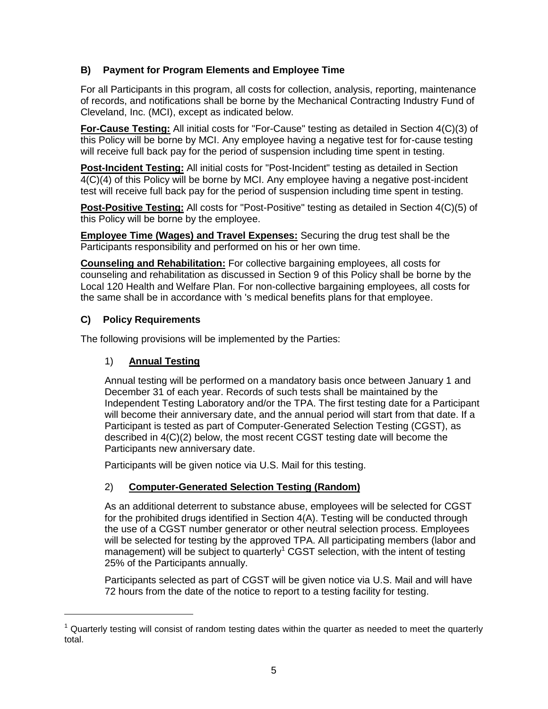#### <span id="page-7-0"></span>**B) Payment for Program Elements and Employee Time**

For all Participants in this program, all costs for collection, analysis, reporting, maintenance of records, and notifications shall be borne by the Mechanical Contracting Industry Fund of Cleveland, Inc. (MCI), except as indicated below.

**For-Cause Testing:** All initial costs for "For-Cause" testing as detailed in Section 4(C)(3) of this Policy will be borne by MCI. Any employee having a negative test for for-cause testing will receive full back pay for the period of suspension including time spent in testing.

**Post-Incident Testing:** All initial costs for "Post-Incident" testing as detailed in Section 4(C)(4) of this Policy will be borne by MCI. Any employee having a negative post-incident test will receive full back pay for the period of suspension including time spent in testing.

**Post-Positive Testing:** All costs for "Post-Positive" testing as detailed in Section 4(C)(5) of this Policy will be borne by the employee.

**Employee Time (Wages) and Travel Expenses:** Securing the drug test shall be the Participants responsibility and performed on his or her own time.

**Counseling and Rehabilitation:** For collective bargaining employees, all costs for counseling and rehabilitation as discussed in Section 9 of this Policy shall be borne by the Local 120 Health and Welfare Plan. For non-collective bargaining employees, all costs for the same shall be in accordance with 's medical benefits plans for that employee.

#### <span id="page-7-1"></span>**C) Policy Requirements**

<span id="page-7-2"></span>The following provisions will be implemented by the Parties:

#### 1) **Annual Testing**

Annual testing will be performed on a mandatory basis once between January 1 and December 31 of each year. Records of such tests shall be maintained by the Independent Testing Laboratory and/or the TPA. The first testing date for a Participant will become their anniversary date, and the annual period will start from that date. If a Participant is tested as part of Computer-Generated Selection Testing (CGST), as described in 4(C)(2) below, the most recent CGST testing date will become the Participants new anniversary date.

Participants will be given notice via U.S. Mail for this testing.

#### <span id="page-7-3"></span>2) **Computer-Generated Selection Testing (Random)**

As an additional deterrent to substance abuse, employees will be selected for CGST for the prohibited drugs identified in Section 4(A). Testing will be conducted through the use of a CGST number generator or other neutral selection process. Employees will be selected for testing by the approved TPA. All participating members (labor and management) will be subject to quarterly<sup>1</sup> CGST selection, with the intent of testing 25% of the Participants annually.

Participants selected as part of CGST will be given notice via U.S. Mail and will have 72 hours from the date of the notice to report to a testing facility for testing.

 $1$  Quarterly testing will consist of random testing dates within the quarter as needed to meet the quarterly total.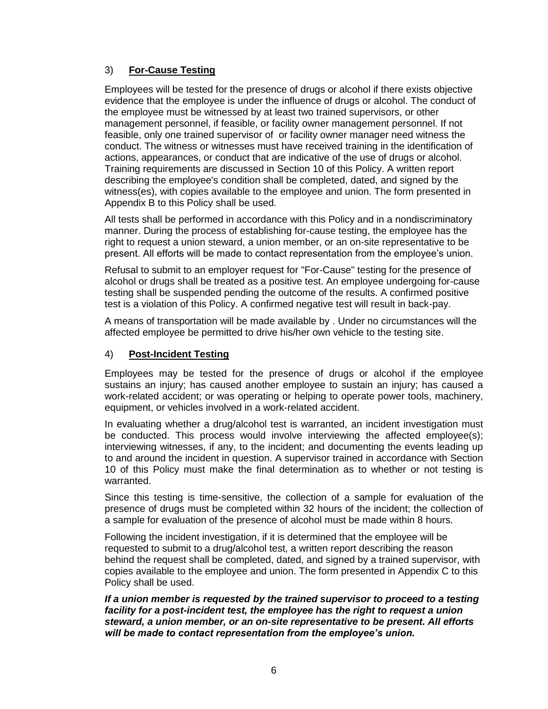#### <span id="page-8-0"></span>3) **For-Cause Testing**

Employees will be tested for the presence of drugs or alcohol if there exists objective evidence that the employee is under the influence of drugs or alcohol. The conduct of the employee must be witnessed by at least two trained supervisors, or other management personnel, if feasible, or facility owner management personnel. If not feasible, only one trained supervisor of or facility owner manager need witness the conduct. The witness or witnesses must have received training in the identification of actions, appearances, or conduct that are indicative of the use of drugs or alcohol. Training requirements are discussed in Section 10 of this Policy. A written report describing the employee's condition shall be completed, dated, and signed by the witness(es), with copies available to the employee and union. The form presented in Appendix B to this Policy shall be used.

All tests shall be performed in accordance with this Policy and in a nondiscriminatory manner. During the process of establishing for-cause testing, the employee has the right to request a union steward, a union member, or an on-site representative to be present. All efforts will be made to contact representation from the employee's union.

Refusal to submit to an employer request for "For-Cause" testing for the presence of alcohol or drugs shall be treated as a positive test. An employee undergoing for-cause testing shall be suspended pending the outcome of the results. A confirmed positive test is a violation of this Policy. A confirmed negative test will result in back-pay.

A means of transportation will be made available by . Under no circumstances will the affected employee be permitted to drive his/her own vehicle to the testing site.

#### <span id="page-8-1"></span>4) **Post-Incident Testing**

Employees may be tested for the presence of drugs or alcohol if the employee sustains an injury; has caused another employee to sustain an injury; has caused a work-related accident; or was operating or helping to operate power tools, machinery, equipment, or vehicles involved in a work-related accident.

In evaluating whether a drug/alcohol test is warranted, an incident investigation must be conducted. This process would involve interviewing the affected employee(s); interviewing witnesses, if any, to the incident; and documenting the events leading up to and around the incident in question. A supervisor trained in accordance with Section 10 of this Policy must make the final determination as to whether or not testing is warranted.

Since this testing is time-sensitive, the collection of a sample for evaluation of the presence of drugs must be completed within 32 hours of the incident; the collection of a sample for evaluation of the presence of alcohol must be made within 8 hours.

Following the incident investigation, if it is determined that the employee will be requested to submit to a drug/alcohol test, a written report describing the reason behind the request shall be completed, dated, and signed by a trained supervisor, with copies available to the employee and union. The form presented in Appendix C to this Policy shall be used.

*If a union member is requested by the trained supervisor to proceed to a testing facility for a post-incident test, the employee has the right to request a union steward, a union member, or an on-site representative to be present. All efforts will be made to contact representation from the employee's union.*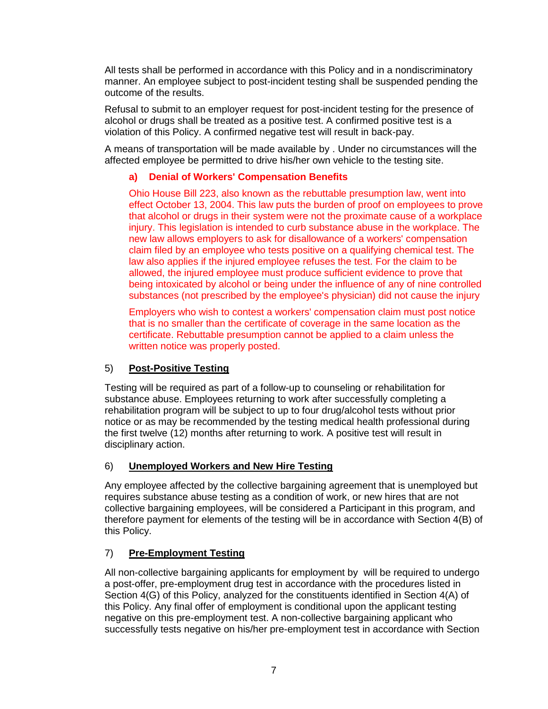All tests shall be performed in accordance with this Policy and in a nondiscriminatory manner. An employee subject to post-incident testing shall be suspended pending the outcome of the results.

Refusal to submit to an employer request for post-incident testing for the presence of alcohol or drugs shall be treated as a positive test. A confirmed positive test is a violation of this Policy. A confirmed negative test will result in back-pay.

A means of transportation will be made available by . Under no circumstances will the affected employee be permitted to drive his/her own vehicle to the testing site.

#### **a) Denial of Workers' Compensation Benefits**

Ohio House Bill 223, also known as the rebuttable presumption law, went into effect October 13, 2004. This law puts the burden of proof on employees to prove that alcohol or drugs in their system were not the proximate cause of a workplace injury. This legislation is intended to curb substance abuse in the workplace. The new law allows employers to ask for disallowance of a workers' compensation claim filed by an employee who tests positive on a qualifying chemical test. The law also applies if the injured employee refuses the test. For the claim to be allowed, the injured employee must produce sufficient evidence to prove that being intoxicated by alcohol or being under the influence of any of nine controlled substances (not prescribed by the employee's physician) did not cause the injury

Employers who wish to contest a workers' compensation claim must post notice that is no smaller than the certificate of coverage in the same location as the certificate. Rebuttable presumption cannot be applied to a claim unless the written notice was properly posted.

#### <span id="page-9-0"></span>5) **Post-Positive Testing**

Testing will be required as part of a follow-up to counseling or rehabilitation for substance abuse. Employees returning to work after successfully completing a rehabilitation program will be subject to up to four drug/alcohol tests without prior notice or as may be recommended by the testing medical health professional during the first twelve (12) months after returning to work. A positive test will result in disciplinary action.

#### <span id="page-9-1"></span>6) **Unemployed Workers and New Hire Testing**

Any employee affected by the collective bargaining agreement that is unemployed but requires substance abuse testing as a condition of work, or new hires that are not collective bargaining employees, will be considered a Participant in this program, and therefore payment for elements of the testing will be in accordance with Section 4(B) of this Policy.

#### <span id="page-9-2"></span>7) **Pre-Employment Testing**

All non-collective bargaining applicants for employment by will be required to undergo a post-offer, pre-employment drug test in accordance with the procedures listed in Section 4(G) of this Policy, analyzed for the constituents identified in Section 4(A) of this Policy. Any final offer of employment is conditional upon the applicant testing negative on this pre-employment test. A non-collective bargaining applicant who successfully tests negative on his/her pre-employment test in accordance with Section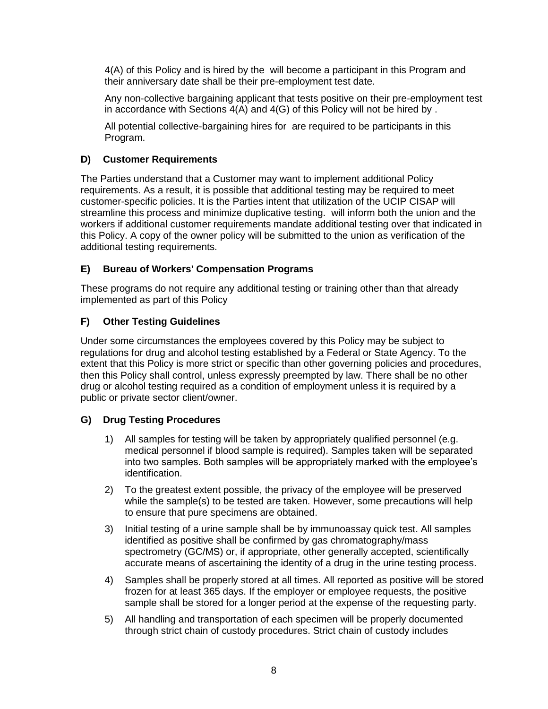4(A) of this Policy and is hired by the will become a participant in this Program and their anniversary date shall be their pre-employment test date.

Any non-collective bargaining applicant that tests positive on their pre-employment test in accordance with Sections 4(A) and 4(G) of this Policy will not be hired by .

All potential collective-bargaining hires for are required to be participants in this Program.

#### <span id="page-10-0"></span>**D) Customer Requirements**

The Parties understand that a Customer may want to implement additional Policy requirements. As a result, it is possible that additional testing may be required to meet customer-specific policies. It is the Parties intent that utilization of the UCIP CISAP will streamline this process and minimize duplicative testing. will inform both the union and the workers if additional customer requirements mandate additional testing over that indicated in this Policy. A copy of the owner policy will be submitted to the union as verification of the additional testing requirements.

#### <span id="page-10-1"></span>**E) Bureau of Workers' Compensation Programs**

These programs do not require any additional testing or training other than that already implemented as part of this Policy

#### <span id="page-10-2"></span>**F) Other Testing Guidelines**

Under some circumstances the employees covered by this Policy may be subject to regulations for drug and alcohol testing established by a Federal or State Agency. To the extent that this Policy is more strict or specific than other governing policies and procedures, then this Policy shall control, unless expressly preempted by law. There shall be no other drug or alcohol testing required as a condition of employment unless it is required by a public or private sector client/owner.

#### <span id="page-10-3"></span>**G) Drug Testing Procedures**

- 1) All samples for testing will be taken by appropriately qualified personnel (e.g. medical personnel if blood sample is required). Samples taken will be separated into two samples. Both samples will be appropriately marked with the employee's identification.
- 2) To the greatest extent possible, the privacy of the employee will be preserved while the sample(s) to be tested are taken. However, some precautions will help to ensure that pure specimens are obtained.
- 3) Initial testing of a urine sample shall be by immunoassay quick test. All samples identified as positive shall be confirmed by gas chromatography/mass spectrometry (GC/MS) or, if appropriate, other generally accepted, scientifically accurate means of ascertaining the identity of a drug in the urine testing process.
- 4) Samples shall be properly stored at all times. All reported as positive will be stored frozen for at least 365 days. If the employer or employee requests, the positive sample shall be stored for a longer period at the expense of the requesting party.
- 5) All handling and transportation of each specimen will be properly documented through strict chain of custody procedures. Strict chain of custody includes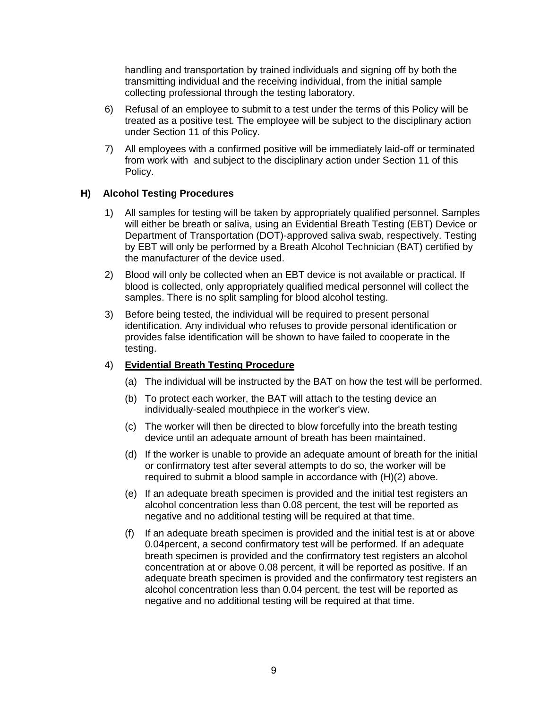handling and transportation by trained individuals and signing off by both the transmitting individual and the receiving individual, from the initial sample collecting professional through the testing laboratory.

- 6) Refusal of an employee to submit to a test under the terms of this Policy will be treated as a positive test. The employee will be subject to the disciplinary action under Section 11 of this Policy.
- 7) All employees with a confirmed positive will be immediately laid-off or terminated from work with and subject to the disciplinary action under Section 11 of this Policy.

#### <span id="page-11-0"></span>**H) Alcohol Testing Procedures**

- 1) All samples for testing will be taken by appropriately qualified personnel. Samples will either be breath or saliva, using an Evidential Breath Testing (EBT) Device or Department of Transportation (DOT)-approved saliva swab, respectively. Testing by EBT will only be performed by a Breath Alcohol Technician (BAT) certified by the manufacturer of the device used.
- 2) Blood will only be collected when an EBT device is not available or practical. If blood is collected, only appropriately qualified medical personnel will collect the samples. There is no split sampling for blood alcohol testing.
- 3) Before being tested, the individual will be required to present personal identification. Any individual who refuses to provide personal identification or provides false identification will be shown to have failed to cooperate in the testing.

#### 4) **Evidential Breath Testing Procedure**

- (a) The individual will be instructed by the BAT on how the test will be performed.
- (b) To protect each worker, the BAT will attach to the testing device an individually-sealed mouthpiece in the worker's view.
- (c) The worker will then be directed to blow forcefully into the breath testing device until an adequate amount of breath has been maintained.
- (d) If the worker is unable to provide an adequate amount of breath for the initial or confirmatory test after several attempts to do so, the worker will be required to submit a blood sample in accordance with (H)(2) above.
- (e) If an adequate breath specimen is provided and the initial test registers an alcohol concentration less than 0.08 percent, the test will be reported as negative and no additional testing will be required at that time.
- (f) If an adequate breath specimen is provided and the initial test is at or above 0.04percent, a second confirmatory test will be performed. If an adequate breath specimen is provided and the confirmatory test registers an alcohol concentration at or above 0.08 percent, it will be reported as positive. If an adequate breath specimen is provided and the confirmatory test registers an alcohol concentration less than 0.04 percent, the test will be reported as negative and no additional testing will be required at that time.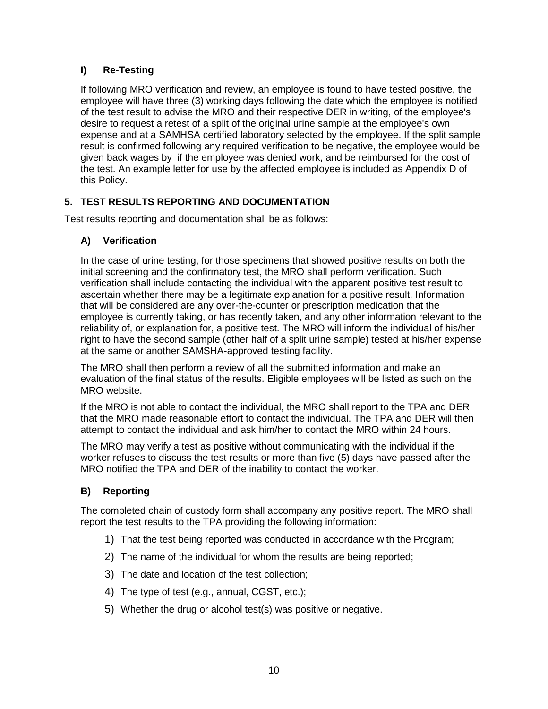#### <span id="page-12-0"></span>**I) Re-Testing**

If following MRO verification and review, an employee is found to have tested positive, the employee will have three (3) working days following the date which the employee is notified of the test result to advise the MRO and their respective DER in writing, of the employee's desire to request a retest of a split of the original urine sample at the employee's own expense and at a SAMHSA certified laboratory selected by the employee. If the split sample result is confirmed following any required verification to be negative, the employee would be given back wages by if the employee was denied work, and be reimbursed for the cost of the test. An example letter for use by the affected employee is included as Appendix D of this Policy.

#### <span id="page-12-1"></span>**5. TEST RESULTS REPORTING AND DOCUMENTATION**

<span id="page-12-2"></span>Test results reporting and documentation shall be as follows:

#### **A) Verification**

In the case of urine testing, for those specimens that showed positive results on both the initial screening and the confirmatory test, the MRO shall perform verification. Such verification shall include contacting the individual with the apparent positive test result to ascertain whether there may be a legitimate explanation for a positive result. Information that will be considered are any over-the-counter or prescription medication that the employee is currently taking, or has recently taken, and any other information relevant to the reliability of, or explanation for, a positive test. The MRO will inform the individual of his/her right to have the second sample (other half of a split urine sample) tested at his/her expense at the same or another SAMSHA-approved testing facility.

The MRO shall then perform a review of all the submitted information and make an evaluation of the final status of the results. Eligible employees will be listed as such on the MRO website.

If the MRO is not able to contact the individual, the MRO shall report to the TPA and DER that the MRO made reasonable effort to contact the individual. The TPA and DER will then attempt to contact the individual and ask him/her to contact the MRO within 24 hours.

The MRO may verify a test as positive without communicating with the individual if the worker refuses to discuss the test results or more than five (5) days have passed after the MRO notified the TPA and DER of the inability to contact the worker.

#### <span id="page-12-3"></span>**B) Reporting**

The completed chain of custody form shall accompany any positive report. The MRO shall report the test results to the TPA providing the following information:

- 1) That the test being reported was conducted in accordance with the Program;
- 2) The name of the individual for whom the results are being reported;
- 3) The date and location of the test collection;
- 4) The type of test (e.g., annual, CGST, etc.);
- 5) Whether the drug or alcohol test(s) was positive or negative.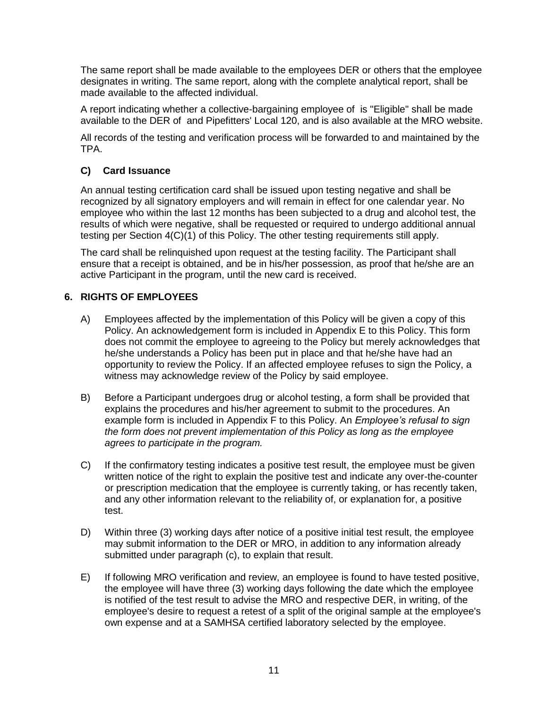The same report shall be made available to the employees DER or others that the employee designates in writing. The same report, along with the complete analytical report, shall be made available to the affected individual.

A report indicating whether a collective-bargaining employee of is "Eligible" shall be made available to the DER of and Pipefitters' Local 120, and is also available at the MRO website.

All records of the testing and verification process will be forwarded to and maintained by the TPA.

#### <span id="page-13-0"></span>**C) Card Issuance**

An annual testing certification card shall be issued upon testing negative and shall be recognized by all signatory employers and will remain in effect for one calendar year. No employee who within the last 12 months has been subjected to a drug and alcohol test, the results of which were negative, shall be requested or required to undergo additional annual testing per Section 4(C)(1) of this Policy. The other testing requirements still apply.

The card shall be relinquished upon request at the testing facility. The Participant shall ensure that a receipt is obtained, and be in his/her possession, as proof that he/she are an active Participant in the program, until the new card is received.

#### <span id="page-13-1"></span>**6. RIGHTS OF EMPLOYEES**

- A) Employees affected by the implementation of this Policy will be given a copy of this Policy. An acknowledgement form is included in Appendix E to this Policy. This form does not commit the employee to agreeing to the Policy but merely acknowledges that he/she understands a Policy has been put in place and that he/she have had an opportunity to review the Policy. If an affected employee refuses to sign the Policy, a witness may acknowledge review of the Policy by said employee.
- B) Before a Participant undergoes drug or alcohol testing, a form shall be provided that explains the procedures and his/her agreement to submit to the procedures. An example form is included in Appendix F to this Policy. An *Employee's refusal to sign the form does not prevent implementation of this Policy as long as the employee agrees to participate in the program.*
- C) If the confirmatory testing indicates a positive test result, the employee must be given written notice of the right to explain the positive test and indicate any over-the-counter or prescription medication that the employee is currently taking, or has recently taken, and any other information relevant to the reliability of, or explanation for, a positive test.
- D) Within three (3) working days after notice of a positive initial test result, the employee may submit information to the DER or MRO, in addition to any information already submitted under paragraph (c), to explain that result.
- E) If following MRO verification and review, an employee is found to have tested positive, the employee will have three (3) working days following the date which the employee is notified of the test result to advise the MRO and respective DER, in writing, of the employee's desire to request a retest of a split of the original sample at the employee's own expense and at a SAMHSA certified laboratory selected by the employee.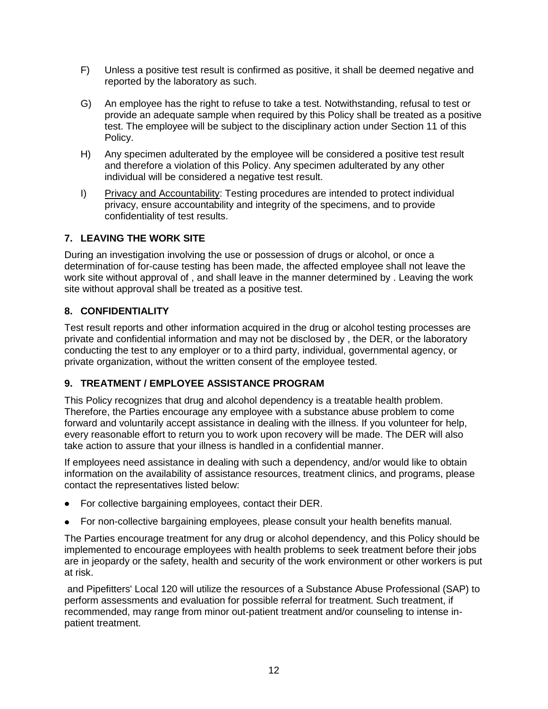- F) Unless a positive test result is confirmed as positive, it shall be deemed negative and reported by the laboratory as such.
- G) An employee has the right to refuse to take a test. Notwithstanding, refusal to test or provide an adequate sample when required by this Policy shall be treated as a positive test. The employee will be subject to the disciplinary action under Section 11 of this Policy.
- H) Any specimen adulterated by the employee will be considered a positive test result and therefore a violation of this Policy. Any specimen adulterated by any other individual will be considered a negative test result.
- I) Privacy and Accountability: Testing procedures are intended to protect individual privacy, ensure accountability and integrity of the specimens, and to provide confidentiality of test results.

#### <span id="page-14-0"></span>**7. LEAVING THE WORK SITE**

During an investigation involving the use or possession of drugs or alcohol, or once a determination of for-cause testing has been made, the affected employee shall not leave the work site without approval of , and shall leave in the manner determined by . Leaving the work site without approval shall be treated as a positive test.

#### <span id="page-14-1"></span>**8. CONFIDENTIALITY**

Test result reports and other information acquired in the drug or alcohol testing processes are private and confidential information and may not be disclosed by , the DER, or the laboratory conducting the test to any employer or to a third party, individual, governmental agency, or private organization, without the written consent of the employee tested.

#### <span id="page-14-2"></span>**9. TREATMENT / EMPLOYEE ASSISTANCE PROGRAM**

This Policy recognizes that drug and alcohol dependency is a treatable health problem. Therefore, the Parties encourage any employee with a substance abuse problem to come forward and voluntarily accept assistance in dealing with the illness. If you volunteer for help, every reasonable effort to return you to work upon recovery will be made. The DER will also take action to assure that your illness is handled in a confidential manner.

If employees need assistance in dealing with such a dependency, and/or would like to obtain information on the availability of assistance resources, treatment clinics, and programs, please contact the representatives listed below:

- For collective bargaining employees, contact their DER.
- For non-collective bargaining employees, please consult your health benefits manual.

The Parties encourage treatment for any drug or alcohol dependency, and this Policy should be implemented to encourage employees with health problems to seek treatment before their jobs are in jeopardy or the safety, health and security of the work environment or other workers is put at risk.

and Pipefitters' Local 120 will utilize the resources of a Substance Abuse Professional (SAP) to perform assessments and evaluation for possible referral for treatment. Such treatment, if recommended, may range from minor out-patient treatment and/or counseling to intense inpatient treatment.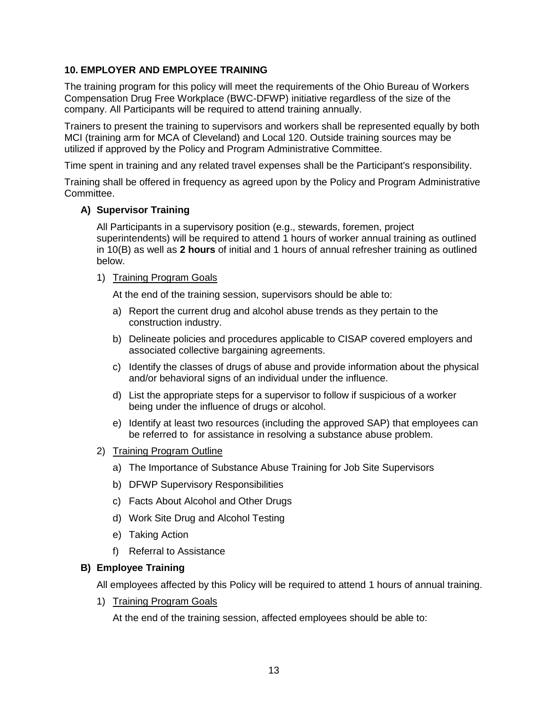#### <span id="page-15-0"></span>**10. EMPLOYER AND EMPLOYEE TRAINING**

The training program for this policy will meet the requirements of the Ohio Bureau of Workers Compensation Drug Free Workplace (BWC-DFWP) initiative regardless of the size of the company. All Participants will be required to attend training annually.

Trainers to present the training to supervisors and workers shall be represented equally by both MCI (training arm for MCA of Cleveland) and Local 120. Outside training sources may be utilized if approved by the Policy and Program Administrative Committee.

Time spent in training and any related travel expenses shall be the Participant's responsibility.

Training shall be offered in frequency as agreed upon by the Policy and Program Administrative Committee.

#### **A) Supervisor Training**

All Participants in a supervisory position (e.g., stewards, foremen, project superintendents) will be required to attend 1 hours of worker annual training as outlined in 10(B) as well as **2 hours** of initial and 1 hours of annual refresher training as outlined below.

#### 1) Training Program Goals

At the end of the training session, supervisors should be able to:

- a) Report the current drug and alcohol abuse trends as they pertain to the construction industry.
- b) Delineate policies and procedures applicable to CISAP covered employers and associated collective bargaining agreements.
- c) Identify the classes of drugs of abuse and provide information about the physical and/or behavioral signs of an individual under the influence.
- d) List the appropriate steps for a supervisor to follow if suspicious of a worker being under the influence of drugs or alcohol.
- e) Identify at least two resources (including the approved SAP) that employees can be referred to for assistance in resolving a substance abuse problem.
- 2) Training Program Outline
	- a) The Importance of Substance Abuse Training for Job Site Supervisors
	- b) DFWP Supervisory Responsibilities
	- c) Facts About Alcohol and Other Drugs
	- d) Work Site Drug and Alcohol Testing
	- e) Taking Action
	- f) Referral to Assistance

#### **B) Employee Training**

All employees affected by this Policy will be required to attend 1 hours of annual training.

1) Training Program Goals

At the end of the training session, affected employees should be able to: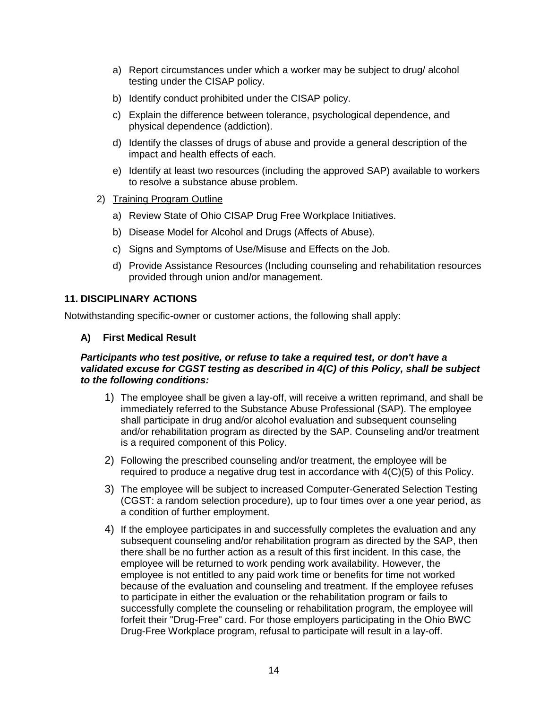- a) Report circumstances under which a worker may be subject to drug/ alcohol testing under the CISAP policy.
- b) Identify conduct prohibited under the CISAP policy.
- c) Explain the difference between tolerance, psychological dependence, and physical dependence (addiction).
- d) Identify the classes of drugs of abuse and provide a general description of the impact and health effects of each.
- e) Identify at least two resources (including the approved SAP) available to workers to resolve a substance abuse problem.
- 2) Training Program Outline
	- a) Review State of Ohio CISAP Drug Free Workplace Initiatives.
	- b) Disease Model for Alcohol and Drugs (Affects of Abuse).
	- c) Signs and Symptoms of Use/Misuse and Effects on the Job.
	- d) Provide Assistance Resources (Including counseling and rehabilitation resources provided through union and/or management.

#### <span id="page-16-0"></span>**11. DISCIPLINARY ACTIONS**

<span id="page-16-1"></span>Notwithstanding specific-owner or customer actions, the following shall apply:

#### **A) First Medical Result**

#### *Participants who test positive, or refuse to take a required test, or don't have a validated excuse for CGST testing as described in 4(C) of this Policy, shall be subject to the following conditions:*

- 1) The employee shall be given a lay-off, will receive a written reprimand, and shall be immediately referred to the Substance Abuse Professional (SAP). The employee shall participate in drug and/or alcohol evaluation and subsequent counseling and/or rehabilitation program as directed by the SAP. Counseling and/or treatment is a required component of this Policy.
- 2) Following the prescribed counseling and/or treatment, the employee will be required to produce a negative drug test in accordance with 4(C)(5) of this Policy.
- 3) The employee will be subject to increased Computer-Generated Selection Testing (CGST: a random selection procedure), up to four times over a one year period, as a condition of further employment.
- 4) If the employee participates in and successfully completes the evaluation and any subsequent counseling and/or rehabilitation program as directed by the SAP, then there shall be no further action as a result of this first incident. In this case, the employee will be returned to work pending work availability. However, the employee is not entitled to any paid work time or benefits for time not worked because of the evaluation and counseling and treatment. If the employee refuses to participate in either the evaluation or the rehabilitation program or fails to successfully complete the counseling or rehabilitation program, the employee will forfeit their "Drug-Free" card. For those employers participating in the Ohio BWC Drug-Free Workplace program, refusal to participate will result in a lay-off.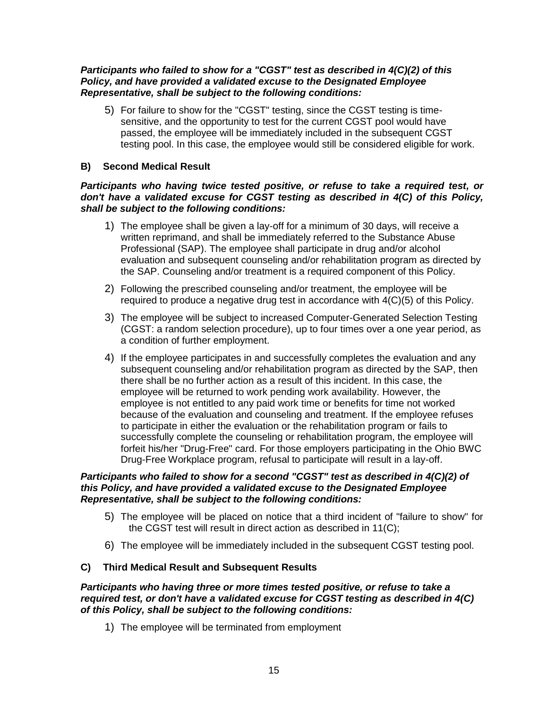#### *Participants who failed to show for a "CGST" test as described in 4(C)(2) of this Policy, and have provided a validated excuse to the Designated Employee Representative, shall be subject to the following conditions:*

5) For failure to show for the "CGST" testing, since the CGST testing is timesensitive, and the opportunity to test for the current CGST pool would have passed, the employee will be immediately included in the subsequent CGST testing pool. In this case, the employee would still be considered eligible for work.

#### <span id="page-17-0"></span>**B) Second Medical Result**

#### *Participants who having twice tested positive, or refuse to take a required test, or don't have a validated excuse for CGST testing as described in 4(C) of this Policy, shall be subject to the following conditions:*

- 1) The employee shall be given a lay-off for a minimum of 30 days, will receive a written reprimand, and shall be immediately referred to the Substance Abuse Professional (SAP). The employee shall participate in drug and/or alcohol evaluation and subsequent counseling and/or rehabilitation program as directed by the SAP. Counseling and/or treatment is a required component of this Policy.
- 2) Following the prescribed counseling and/or treatment, the employee will be required to produce a negative drug test in accordance with 4(C)(5) of this Policy.
- 3) The employee will be subject to increased Computer-Generated Selection Testing (CGST: a random selection procedure), up to four times over a one year period, as a condition of further employment.
- 4) If the employee participates in and successfully completes the evaluation and any subsequent counseling and/or rehabilitation program as directed by the SAP, then there shall be no further action as a result of this incident. In this case, the employee will be returned to work pending work availability. However, the employee is not entitled to any paid work time or benefits for time not worked because of the evaluation and counseling and treatment. If the employee refuses to participate in either the evaluation or the rehabilitation program or fails to successfully complete the counseling or rehabilitation program, the employee will forfeit his/her "Drug-Free" card. For those employers participating in the Ohio BWC Drug-Free Workplace program, refusal to participate will result in a lay-off.

#### *Participants who failed to show for a second "CGST" test as described in 4(C)(2) of this Policy, and have provided a validated excuse to the Designated Employee Representative, shall be subject to the following conditions:*

- 5) The employee will be placed on notice that a third incident of "failure to show" for the CGST test will result in direct action as described in 11(C);
- 6) The employee will be immediately included in the subsequent CGST testing pool.

#### <span id="page-17-1"></span>**C) Third Medical Result and Subsequent Results**

#### *Participants who having three or more times tested positive, or refuse to take a required test, or don't have a validated excuse for CGST testing as described in 4(C) of this Policy, shall be subject to the following conditions:*

1) The employee will be terminated from employment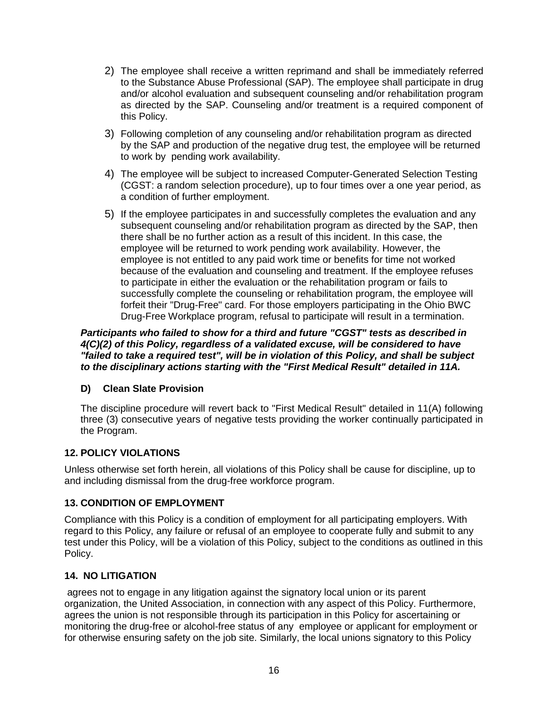- 2) The employee shall receive a written reprimand and shall be immediately referred to the Substance Abuse Professional (SAP). The employee shall participate in drug and/or alcohol evaluation and subsequent counseling and/or rehabilitation program as directed by the SAP. Counseling and/or treatment is a required component of this Policy.
- 3) Following completion of any counseling and/or rehabilitation program as directed by the SAP and production of the negative drug test, the employee will be returned to work by pending work availability.
- 4) The employee will be subject to increased Computer-Generated Selection Testing (CGST: a random selection procedure), up to four times over a one year period, as a condition of further employment.
- 5) If the employee participates in and successfully completes the evaluation and any subsequent counseling and/or rehabilitation program as directed by the SAP, then there shall be no further action as a result of this incident. In this case, the employee will be returned to work pending work availability. However, the employee is not entitled to any paid work time or benefits for time not worked because of the evaluation and counseling and treatment. If the employee refuses to participate in either the evaluation or the rehabilitation program or fails to successfully complete the counseling or rehabilitation program, the employee will forfeit their "Drug-Free" card. For those employers participating in the Ohio BWC Drug-Free Workplace program, refusal to participate will result in a termination.

*Participants who failed to show for a third and future "CGST" tests as described in 4(C)(2) of this Policy, regardless of a validated excuse, will be considered to have "failed to take a required test", will be in violation of this Policy, and shall be subject to the disciplinary actions starting with the "First Medical Result" detailed in 11A.*

#### <span id="page-18-0"></span>**D) Clean Slate Provision**

The discipline procedure will revert back to "First Medical Result" detailed in 11(A) following three (3) consecutive years of negative tests providing the worker continually participated in the Program.

#### <span id="page-18-1"></span>**12. POLICY VIOLATIONS**

Unless otherwise set forth herein, all violations of this Policy shall be cause for discipline, up to and including dismissal from the drug-free workforce program.

#### <span id="page-18-2"></span>**13. CONDITION OF EMPLOYMENT**

Compliance with this Policy is a condition of employment for all participating employers. With regard to this Policy, any failure or refusal of an employee to cooperate fully and submit to any test under this Policy, will be a violation of this Policy, subject to the conditions as outlined in this Policy.

#### <span id="page-18-3"></span>**14. NO LITIGATION**

agrees not to engage in any litigation against the signatory local union or its parent organization, the United Association, in connection with any aspect of this Policy. Furthermore, agrees the union is not responsible through its participation in this Policy for ascertaining or monitoring the drug-free or alcohol-free status of any employee or applicant for employment or for otherwise ensuring safety on the job site. Similarly, the local unions signatory to this Policy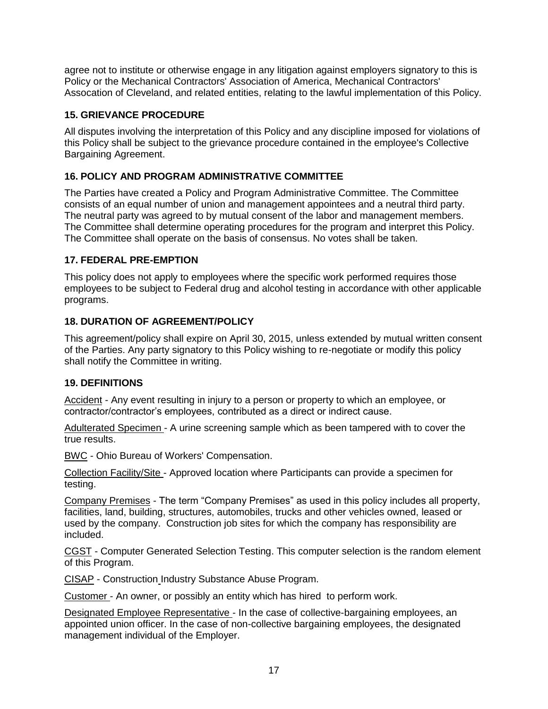agree not to institute or otherwise engage in any litigation against employers signatory to this is Policy or the Mechanical Contractors' Association of America, Mechanical Contractors' Assocation of Cleveland, and related entities, relating to the lawful implementation of this Policy.

#### <span id="page-19-0"></span>**15. GRIEVANCE PROCEDURE**

All disputes involving the interpretation of this Policy and any discipline imposed for violations of this Policy shall be subject to the grievance procedure contained in the employee's Collective Bargaining Agreement.

#### <span id="page-19-1"></span>**16. POLICY AND PROGRAM ADMINISTRATIVE COMMITTEE**

The Parties have created a Policy and Program Administrative Committee. The Committee consists of an equal number of union and management appointees and a neutral third party. The neutral party was agreed to by mutual consent of the labor and management members. The Committee shall determine operating procedures for the program and interpret this Policy. The Committee shall operate on the basis of consensus. No votes shall be taken.

#### <span id="page-19-2"></span>**17. FEDERAL PRE-EMPTION**

This policy does not apply to employees where the specific work performed requires those employees to be subject to Federal drug and alcohol testing in accordance with other applicable programs.

#### <span id="page-19-3"></span>**18. DURATION OF AGREEMENT/POLICY**

This agreement/policy shall expire on April 30, 2015, unless extended by mutual written consent of the Parties. Any party signatory to this Policy wishing to re-negotiate or modify this policy shall notify the Committee in writing.

#### <span id="page-19-4"></span>**19. DEFINITIONS**

Accident - Any event resulting in injury to a person or property to which an employee, or contractor/contractor's employees, contributed as a direct or indirect cause.

Adulterated Specimen - A urine screening sample which as been tampered with to cover the true results.

BWC - Ohio Bureau of Workers' Compensation.

Collection Facility/Site - Approved location where Participants can provide a specimen for testing.

Company Premises - The term "Company Premises" as used in this policy includes all property, facilities, land, building, structures, automobiles, trucks and other vehicles owned, leased or used by the company. Construction job sites for which the company has responsibility are included.

CGST - Computer Generated Selection Testing. This computer selection is the random element of this Program.

CISAP - Construction Industry Substance Abuse Program.

Customer - An owner, or possibly an entity which has hired to perform work.

Designated Employee Representative - In the case of collective-bargaining employees, an appointed union officer. In the case of non-collective bargaining employees, the designated management individual of the Employer.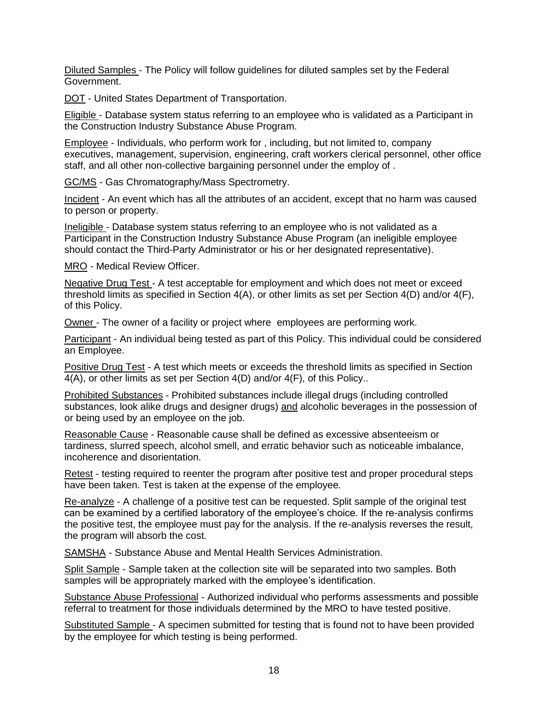Diluted Samples - The Policy will follow guidelines for diluted samples set by the Federal Government.

DOT - United States Department of Transportation.

Eligible - Database system status referring to an employee who is validated as a Participant in the Construction Industry Substance Abuse Program.

Employee - Individuals, who perform work for , including, but not limited to, company executives, management, supervision, engineering, craft workers clerical personnel, other office staff, and all other non-collective bargaining personnel under the employ of .

GC/MS - Gas Chromatography/Mass Spectrometry.

Incident - An event which has all the attributes of an accident, except that no harm was caused to person or property.

Ineligible - Database system status referring to an employee who is not validated as a Participant in the Construction Industry Substance Abuse Program (an ineligible employee should contact the Third-Party Administrator or his or her designated representative).

MRO - Medical Review Officer.

Negative Drug Test - A test acceptable for employment and which does not meet or exceed threshold limits as specified in Section 4(A), or other limits as set per Section 4(D) and/or 4(F), of this Policy.

Owner - The owner of a facility or project where employees are performing work.

Participant - An individual being tested as part of this Policy. This individual could be considered an Employee.

Positive Drug Test - A test which meets or exceeds the threshold limits as specified in Section 4(A), or other limits as set per Section 4(D) and/or 4(F), of this Policy..

Prohibited Substances - Prohibited substances include illegal drugs (including controlled substances, look alike drugs and designer drugs) and alcoholic beverages in the possession of or being used by an employee on the job.

Reasonable Cause - Reasonable cause shall be defined as excessive absenteeism or tardiness, slurred speech, alcohol smell, and erratic behavior such as noticeable imbalance, incoherence and disorientation.

Retest - testing required to reenter the program after positive test and proper procedural steps have been taken. Test is taken at the expense of the employee*.*

Re-analyze - A challenge of a positive test can be requested. Split sample of the original test can be examined by a certified laboratory of the employee's choice. If the re-analysis confirms the positive test, the employee must pay for the analysis. If the re-analysis reverses the result, the program will absorb the cost.

SAMSHA - Substance Abuse and Mental Health Services Administration.

Split Sample - Sample taken at the collection site will be separated into two samples. Both samples will be appropriately marked with the employee's identification.

Substance Abuse Professional - Authorized individual who performs assessments and possible referral to treatment for those individuals determined by the MRO to have tested positive.

Substituted Sample - A specimen submitted for testing that is found not to have been provided by the employee for which testing is being performed.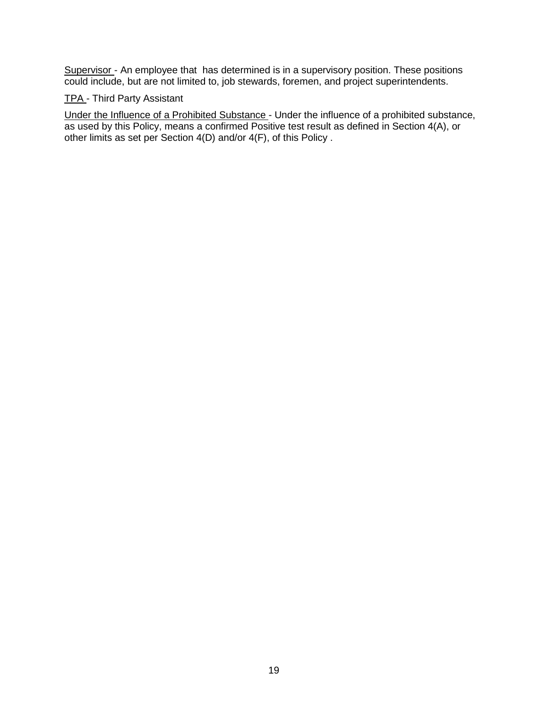Supervisor - An employee that has determined is in a supervisory position. These positions could include, but are not limited to, job stewards, foremen, and project superintendents.

#### TPA - Third Party Assistant

Under the Influence of a Prohibited Substance - Under the influence of a prohibited substance, as used by this Policy, means a confirmed Positive test result as defined in Section 4(A), or other limits as set per Section 4(D) and/or 4(F), of this Policy .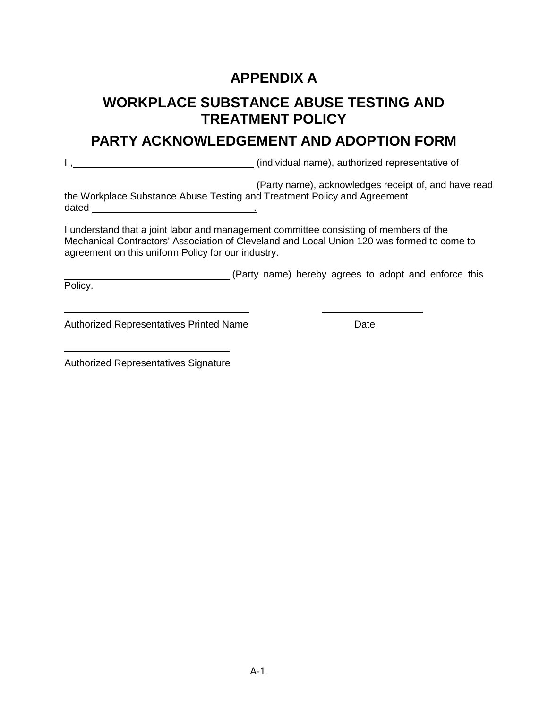### **APPENDIX A**

### <span id="page-22-0"></span>**WORKPLACE SUBSTANCE ABUSE TESTING AND TREATMENT POLICY**

### **PARTY ACKNOWLEDGEMENT AND ADOPTION FORM**

I, Marian Maria (individual name), authorized representative of

(Party name), acknowledges receipt of, and have read the Workplace Substance Abuse Testing and Treatment Policy and Agreement dated .

I understand that a joint labor and management committee consisting of members of the Mechanical Contractors' Association of Cleveland and Local Union 120 was formed to come to agreement on this uniform Policy for our industry.

(Party name) hereby agrees to adopt and enforce this Policy.

Authorized Representatives Printed Name

Authorized Representatives Signature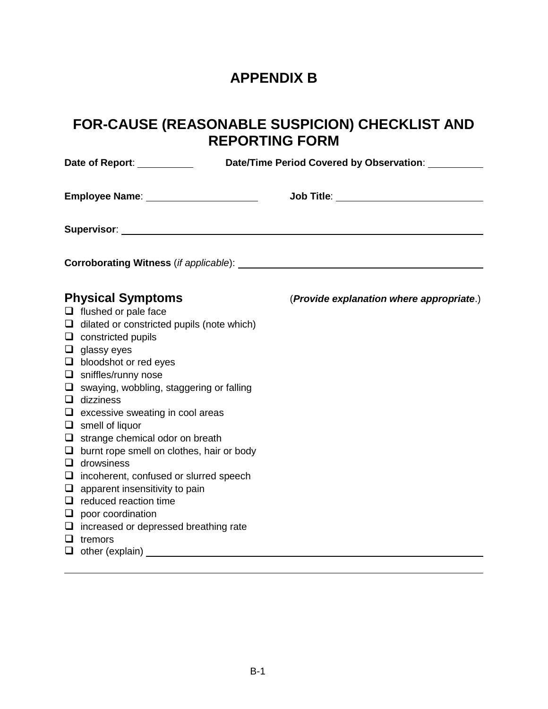### **APPENDIX B**

### <span id="page-23-0"></span>**FOR-CAUSE (REASONABLE SUSPICION) CHECKLIST AND REPORTING FORM**

| Date of Report: <u>_______________</u> |                                                                                                                                                                                                                                                                                                                                                                                                                                                                                                                                                                                                                                                                                                                      |                                            |  |  |  |
|----------------------------------------|----------------------------------------------------------------------------------------------------------------------------------------------------------------------------------------------------------------------------------------------------------------------------------------------------------------------------------------------------------------------------------------------------------------------------------------------------------------------------------------------------------------------------------------------------------------------------------------------------------------------------------------------------------------------------------------------------------------------|--------------------------------------------|--|--|--|
|                                        | Employee Name: Name: Name and Allen Control of Temployee Name: Name and Allen Control of Temples Ave                                                                                                                                                                                                                                                                                                                                                                                                                                                                                                                                                                                                                 | Job Title: _______________________________ |  |  |  |
|                                        | Supervisor: Supervisor: Supervisor: Supervisor: Supervisor: Supervisor: Supervisor: Supervisor: Supervisor: Supervisor: Supervisor: Supervisor: Supervisor: Supervisor: Supervisor: Supervisor: Supervisor: Supervisor: Superv                                                                                                                                                                                                                                                                                                                                                                                                                                                                                       |                                            |  |  |  |
|                                        |                                                                                                                                                                                                                                                                                                                                                                                                                                                                                                                                                                                                                                                                                                                      |                                            |  |  |  |
|                                        | <b>Physical Symptoms</b><br>$\Box$ flushed or pale face<br>$\Box$ dilated or constricted pupils (note which)<br>$\Box$ constricted pupils<br>$\Box$ glassy eyes<br>$\Box$ bloodshot or red eyes<br>$\Box$ sniffles/runny nose<br>$\Box$ swaying, wobbling, staggering or falling<br>$\Box$ dizziness<br>$\Box$ excessive sweating in cool areas<br>$\Box$ smell of liquor<br>$\Box$ strange chemical odor on breath<br>$\Box$ burnt rope smell on clothes, hair or body<br>$\Box$ drowsiness<br>$\Box$ incoherent, confused or slurred speech<br>$\Box$ apparent insensitivity to pain<br>$\Box$ reduced reaction time<br>$\Box$ poor coordination<br>$\Box$ increased or depressed breathing rate<br>$\Box$ tremors | (Provide explanation where appropriate.)   |  |  |  |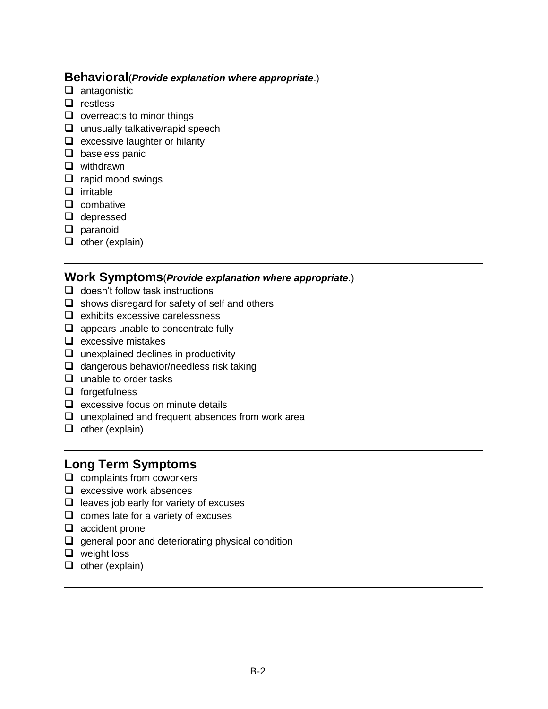#### **Behavioral**(*Provide explanation where appropriate*.)

- $\Box$  antagonistic
- $\Box$  restless
- $\Box$  overreacts to minor things
- $\Box$  unusually talkative/rapid speech
- $\Box$  excessive laughter or hilarity
- $\Box$  baseless panic
- **Q** withdrawn
- $\Box$  rapid mood swings
- $\Box$  irritable
- $\Box$  combative
- □ depressed
- $\Box$  paranoid
- $\Box$  other (explain)

#### **Work Symptoms**(*Provide explanation where appropriate*.)

- $\Box$  doesn't follow task instructions
- $\Box$  shows disregard for safety of self and others
- $\Box$  exhibits excessive carelessness
- $\Box$  appears unable to concentrate fully
- $\Box$  excessive mistakes
- $\Box$  unexplained declines in productivity
- $\Box$  dangerous behavior/needless risk taking
- $\Box$  unable to order tasks
- $\Box$  forgetfulness
- $\Box$  excessive focus on minute details
- $\Box$  unexplained and frequent absences from work area
- other (explain)

### **Long Term Symptoms**

- $\Box$  complaints from coworkers
- $\Box$  excessive work absences
- $\Box$  leaves job early for variety of excuses
- $\Box$  comes late for a variety of excuses
- $\Box$  accident prone
- $\Box$  general poor and deteriorating physical condition
- $\Box$  weight loss
- $\Box$  other (explain)  $\Box$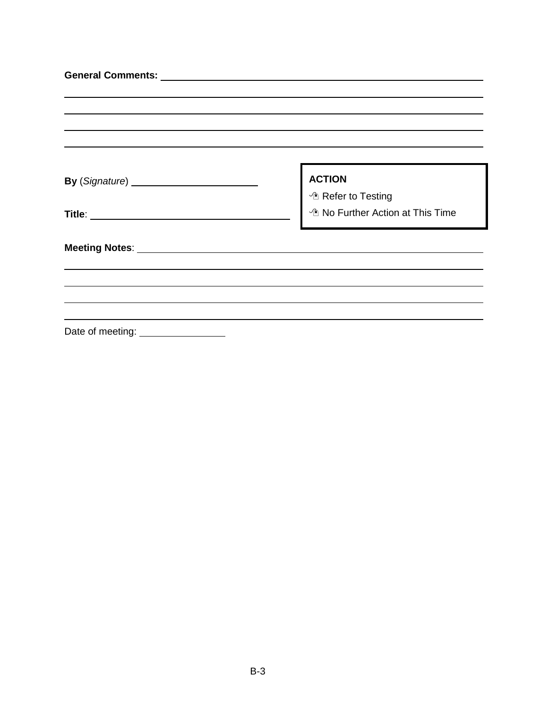|                                                                                                                                                                                                                                      | <b>ACTION</b>                               |
|--------------------------------------------------------------------------------------------------------------------------------------------------------------------------------------------------------------------------------------|---------------------------------------------|
|                                                                                                                                                                                                                                      | <sup>t</sup> Refer to Testing               |
|                                                                                                                                                                                                                                      | <sup>1</sup> No Further Action at This Time |
| Meeting Notes: <u>www.community.com and the set of the set of the set of the set of the set of the set of the set of the set of the set of the set of the set of the set of the set of the set of the set of the set of the set </u> |                                             |
|                                                                                                                                                                                                                                      |                                             |
|                                                                                                                                                                                                                                      |                                             |
| Date of meeting:                                                                                                                                                                                                                     |                                             |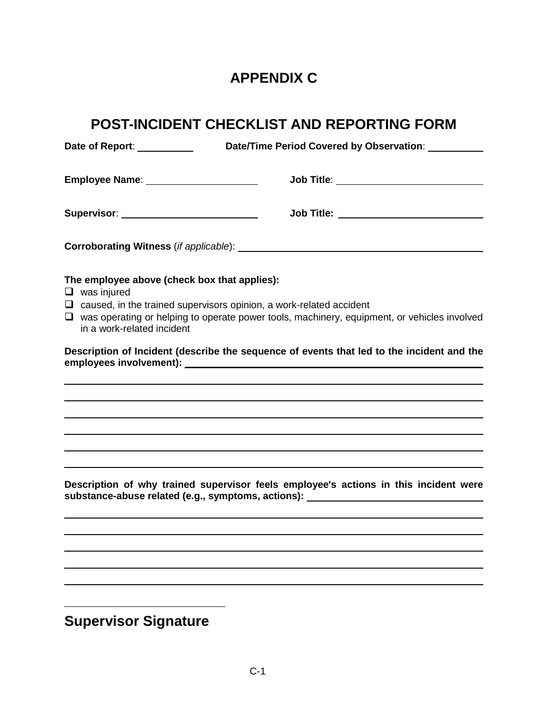### **APPENDIX C**

<span id="page-26-0"></span>

|                                                  |                                              | POST-INCIDENT CHECKLIST AND REPORTING FORM                                                                                                                                       |
|--------------------------------------------------|----------------------------------------------|----------------------------------------------------------------------------------------------------------------------------------------------------------------------------------|
|                                                  | Date of Report: ___________                  | Date/Time Period Covered by Observation: ___________                                                                                                                             |
|                                                  | Employee Name: _______________________       | Job Title: _____________________________                                                                                                                                         |
|                                                  | Supervisor: __________________________       | Job Title: ____________________________                                                                                                                                          |
|                                                  |                                              |                                                                                                                                                                                  |
| $\Box$ was injured<br>in a work-related incident | The employee above (check box that applies): | $\Box$ caused, in the trained supervisors opinion, a work-related accident<br>$\Box$ was operating or helping to operate power tools, machinery, equipment, or vehicles involved |
|                                                  |                                              | Description of Incident (describe the sequence of events that led to the incident and the                                                                                        |
|                                                  |                                              |                                                                                                                                                                                  |
|                                                  |                                              |                                                                                                                                                                                  |
|                                                  |                                              |                                                                                                                                                                                  |
|                                                  |                                              | Description of why trained supervisor feels employee's actions in this incident were<br>substance-abuse related (e.g., symptoms, actions): _____________________________         |
|                                                  |                                              |                                                                                                                                                                                  |
|                                                  |                                              |                                                                                                                                                                                  |

**Supervisor Signature**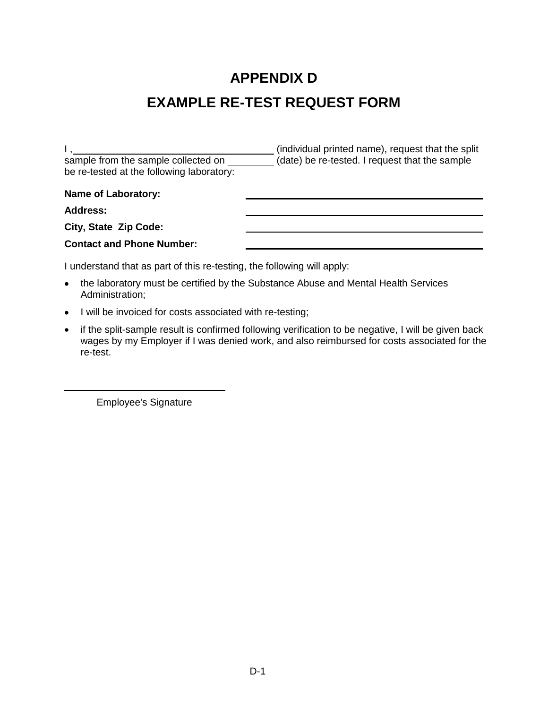## **APPENDIX D EXAMPLE RE-TEST REQUEST FORM**

<span id="page-27-0"></span>I,  $\frac{1}{1}$ sample from the sample collected on (date) be re-tested. I request that the sample be re-tested at the following laboratory: **Name of Laboratory: Address: City, State Zip Code: Contact and Phone Number:**

I understand that as part of this re-testing, the following will apply:

- the laboratory must be certified by the Substance Abuse and Mental Health Services  $\bullet$ Administration;
- I will be invoiced for costs associated with re-testing;
- if the split-sample result is confirmed following verification to be negative, I will be given back wages by my Employer if I was denied work, and also reimbursed for costs associated for the re-test.

Employee's Signature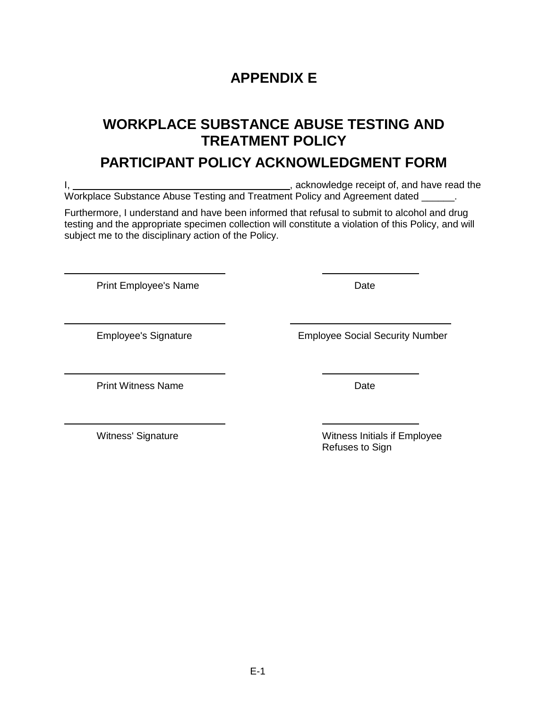E-1

### **APPENDIX E**

### <span id="page-28-0"></span>**WORKPLACE SUBSTANCE ABUSE TESTING AND TREATMENT POLICY**

### **PARTICIPANT POLICY ACKNOWLEDGMENT FORM**

I, 1. Acknowledge receipt of, and have read the Workplace Substance Abuse Testing and Treatment Policy and Agreement dated \_\_\_\_\_\_.

Furthermore, I understand and have been informed that refusal to submit to alcohol and drug testing and the appropriate specimen collection will constitute a violation of this Policy, and will subject me to the disciplinary action of the Policy.

Print Employee's Name **Date** Date

Employee's Signature Employee Social Security Number

Print Witness Name **Date** 

Witness' Signature **Witness** Initials if Employee Refuses to Sign